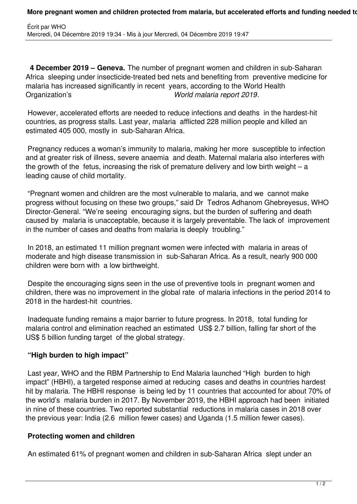**4 December 2019 – Geneva.** The number of pregnant women and children in sub-Saharan Africa sleeping under insecticide-treated bed nets and benefiting from preventive medicine for malaria has increased significantly in recent years, according to the World Health Organization's *World malaria report 2019*.

 However, accelerated efforts are needed to reduce infections and deaths in the hardest-hit countries, as progress stalls. Last year, malaria afflicted 228 million people and killed an estimated 405 000, mostly in sub-Saharan Africa.

 Pregnancy reduces a woman's immunity to malaria, making her more susceptible to infection and at greater risk of illness, severe anaemia and death. Maternal malaria also interferes with the growth of the fetus, increasing the risk of premature delivery and low birth weight – a leading cause of child mortality.

 "Pregnant women and children are the most vulnerable to malaria, and we cannot make progress without focusing on these two groups," said Dr Tedros Adhanom Ghebreyesus, WHO Director-General. "We're seeing encouraging signs, but the burden of suffering and death caused by malaria is unacceptable, because it is largely preventable. The lack of improvement in the number of cases and deaths from malaria is deeply troubling."

 In 2018, an estimated 11 million pregnant women were infected with malaria in areas of moderate and high disease transmission in sub-Saharan Africa. As a result, nearly 900 000 children were born with a low birthweight.

 Despite the encouraging signs seen in the use of preventive tools in pregnant women and children, there was no improvement in the global rate of malaria infections in the period 2014 to 2018 in the hardest-hit countries.

 Inadequate funding remains a major barrier to future progress. In 2018, total funding for malaria control and elimination reached an estimated US\$ 2.7 billion, falling far short of the US\$ 5 billion funding target of the global strategy.

## **"High burden to high impact"**

 Last year, WHO and the RBM Partnership to End Malaria launched "High burden to high impact" (HBHI), a targeted response aimed at reducing cases and deaths in countries hardest hit by malaria. The HBHI response is being led by 11 countries that accounted for about 70% of the world's malaria burden in 2017. By November 2019, the HBHI approach had been initiated in nine of these countries. Two reported substantial reductions in malaria cases in 2018 over the previous year: India (2.6 million fewer cases) and Uganda (1.5 million fewer cases).

## **Protecting women and children**

An estimated 61% of pregnant women and children in sub-Saharan Africa slept under an